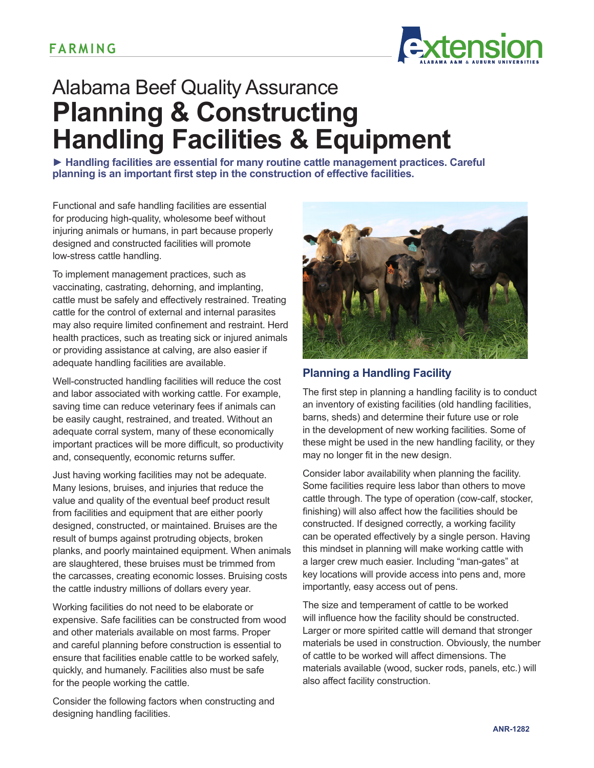

# Alabama Beef Quality Assurance **Planning & Constructing Handling Facilities & Equipment**

**► Handling facilities are essential for many routine cattle management practices. Careful planning is an important first step in the construction of effective facilities.**

Functional and safe handling facilities are essential for producing high-quality, wholesome beef without injuring animals or humans, in part because properly designed and constructed facilities will promote low-stress cattle handling.

To implement management practices, such as vaccinating, castrating, dehorning, and implanting, cattle must be safely and effectively restrained. Treating cattle for the control of external and internal parasites may also require limited confinement and restraint. Herd health practices, such as treating sick or injured animals or providing assistance at calving, are also easier if adequate handling facilities are available.

Well-constructed handling facilities will reduce the cost and labor associated with working cattle. For example, saving time can reduce veterinary fees if animals can be easily caught, restrained, and treated. Without an adequate corral system, many of these economically important practices will be more difficult, so productivity and, consequently, economic returns suffer.

Just having working facilities may not be adequate. Many lesions, bruises, and injuries that reduce the value and quality of the eventual beef product result from facilities and equipment that are either poorly designed, constructed, or maintained. Bruises are the result of bumps against protruding objects, broken planks, and poorly maintained equipment. When animals are slaughtered, these bruises must be trimmed from the carcasses, creating economic losses. Bruising costs the cattle industry millions of dollars every year.

Working facilities do not need to be elaborate or expensive. Safe facilities can be constructed from wood and other materials available on most farms. Proper and careful planning before construction is essential to ensure that facilities enable cattle to be worked safely, quickly, and humanely. Facilities also must be safe for the people working the cattle.

Consider the following factors when constructing and designing handling facilities.



## **Planning a Handling Facility**

The first step in planning a handling facility is to conduct an inventory of existing facilities (old handling facilities, barns, sheds) and determine their future use or role in the development of new working facilities. Some of these might be used in the new handling facility, or they may no longer fit in the new design.

Consider labor availability when planning the facility. Some facilities require less labor than others to move cattle through. The type of operation (cow-calf, stocker, finishing) will also affect how the facilities should be constructed. If designed correctly, a working facility can be operated effectively by a single person. Having this mindset in planning will make working cattle with a larger crew much easier. Including "man-gates" at key locations will provide access into pens and, more importantly, easy access out of pens.

The size and temperament of cattle to be worked will influence how the facility should be constructed. Larger or more spirited cattle will demand that stronger materials be used in construction. Obviously, the number of cattle to be worked will affect dimensions. The materials available (wood, sucker rods, panels, etc.) will also affect facility construction.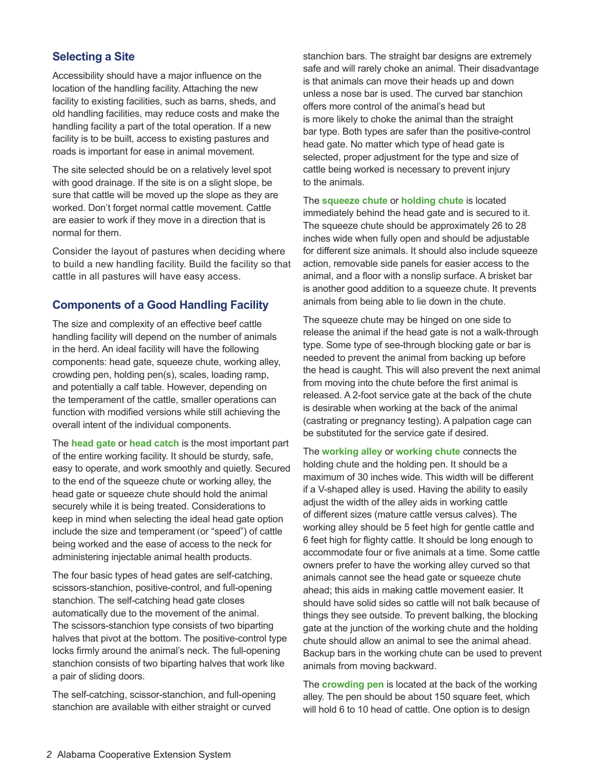#### **Selecting a Site**

Accessibility should have a major influence on the location of the handling facility. Attaching the new facility to existing facilities, such as barns, sheds, and old handling facilities, may reduce costs and make the handling facility a part of the total operation. If a new facility is to be built, access to existing pastures and roads is important for ease in animal movement.

The site selected should be on a relatively level spot with good drainage. If the site is on a slight slope, be sure that cattle will be moved up the slope as they are worked. Don't forget normal cattle movement. Cattle are easier to work if they move in a direction that is normal for them.

Consider the layout of pastures when deciding where to build a new handling facility. Build the facility so that cattle in all pastures will have easy access.

#### **Components of a Good Handling Facility**

The size and complexity of an effective beef cattle handling facility will depend on the number of animals in the herd. An ideal facility will have the following components: head gate, squeeze chute, working alley, crowding pen, holding pen(s), scales, loading ramp, and potentially a calf table. However, depending on the temperament of the cattle, smaller operations can function with modified versions while still achieving the overall intent of the individual components.

The **head gate** or **head catch** is the most important part of the entire working facility. It should be sturdy, safe, easy to operate, and work smoothly and quietly. Secured to the end of the squeeze chute or working alley, the head gate or squeeze chute should hold the animal securely while it is being treated. Considerations to keep in mind when selecting the ideal head gate option include the size and temperament (or "speed") of cattle being worked and the ease of access to the neck for administering injectable animal health products.

The four basic types of head gates are self-catching, scissors-stanchion, positive-control, and full-opening stanchion. The self-catching head gate closes automatically due to the movement of the animal. The scissors-stanchion type consists of two biparting halves that pivot at the bottom. The positive-control type locks firmly around the animal's neck. The full-opening stanchion consists of two biparting halves that work like a pair of sliding doors.

The self-catching, scissor-stanchion, and full-opening stanchion are available with either straight or curved

stanchion bars. The straight bar designs are extremely safe and will rarely choke an animal. Their disadvantage is that animals can move their heads up and down unless a nose bar is used. The curved bar stanchion offers more control of the animal's head but is more likely to choke the animal than the straight bar type. Both types are safer than the positive-control head gate. No matter which type of head gate is selected, proper adjustment for the type and size of cattle being worked is necessary to prevent injury to the animals.

The **squeeze chute** or **holding chute** is located immediately behind the head gate and is secured to it. The squeeze chute should be approximately 26 to 28 inches wide when fully open and should be adjustable for different size animals. It should also include squeeze action, removable side panels for easier access to the animal, and a floor with a nonslip surface. A brisket bar is another good addition to a squeeze chute. It prevents animals from being able to lie down in the chute.

The squeeze chute may be hinged on one side to release the animal if the head gate is not a walk-through type. Some type of see-through blocking gate or bar is needed to prevent the animal from backing up before the head is caught. This will also prevent the next animal from moving into the chute before the first animal is released. A 2-foot service gate at the back of the chute is desirable when working at the back of the animal (castrating or pregnancy testing). A palpation cage can be substituted for the service gate if desired.

The **working alley** or **working chute** connects the holding chute and the holding pen. It should be a maximum of 30 inches wide. This width will be different if a V-shaped alley is used. Having the ability to easily adjust the width of the alley aids in working cattle of different sizes (mature cattle versus calves). The working alley should be 5 feet high for gentle cattle and 6 feet high for flighty cattle. It should be long enough to accommodate four or five animals at a time. Some cattle owners prefer to have the working alley curved so that animals cannot see the head gate or squeeze chute ahead; this aids in making cattle movement easier. It should have solid sides so cattle will not balk because of things they see outside. To prevent balking, the blocking gate at the junction of the working chute and the holding chute should allow an animal to see the animal ahead. Backup bars in the working chute can be used to prevent animals from moving backward.

The **crowding pen** is located at the back of the working alley. The pen should be about 150 square feet, which will hold 6 to 10 head of cattle. One option is to design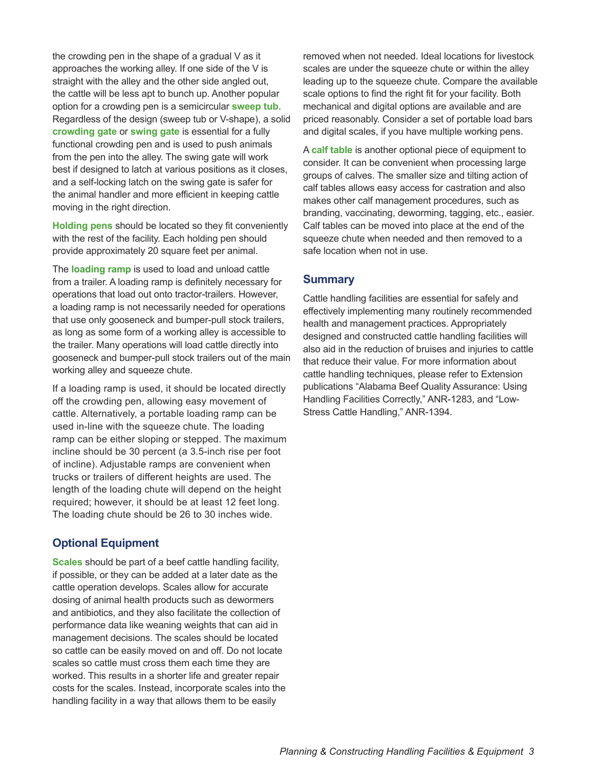the crowding pen in the shape of a gradual V as it approaches the working alley. If one side of the V is straight with the alley and the other side angled out, the cattle will be less apt to bunch up. Another popular option for a crowding pen is a semicircular **sweep tub**. Regardless of the design (sweep tub or V-shape), a solid **crowding gate** or **swing gate** is essential for a fully functional crowding pen and is used to push animals from the pen into the alley. The swing gate will work best if designed to latch at various positions as it closes, and a self-locking latch on the swing gate is safer for the animal handler and more efficient in keeping cattle moving in the right direction.

**Holding pens** should be located so they fit conveniently with the rest of the facility. Each holding pen should provide approximately 20 square feet per animal.

The **loading ramp** is used to load and unload cattle from a trailer. A loading ramp is definitely necessary for operations that load out onto tractor-trailers. However, a loading ramp is not necessarily needed for operations that use only gooseneck and bumper-pull stock trailers, as long as some form of a working alley is accessible to the trailer. Many operations will load cattle directly into gooseneck and bumper-pull stock trailers out of the main working alley and squeeze chute.

If a loading ramp is used, it should be located directly off the crowding pen, allowing easy movement of cattle. Alternatively, a portable loading ramp can be used in-line with the squeeze chute. The loading ramp can be either sloping or stepped. The maximum incline should be 30 percent (a 3.5-inch rise per foot of incline). Adjustable ramps are convenient when trucks or trailers of different heights are used. The length of the loading chute will depend on the height required; however, it should be at least 12 feet long. The loading chute should be 26 to 30 inches wide.

# **Optional Equipment**

**Scales** should be part of a beef cattle handling facility, if possible, or they can be added at a later date as the cattle operation develops. Scales allow for accurate dosing of animal health products such as dewormers and antibiotics, and they also facilitate the collection of performance data like weaning weights that can aid in management decisions. The scales should be located so cattle can be easily moved on and off. Do not locate scales so cattle must cross them each time they are worked. This results in a shorter life and greater repair costs for the scales. Instead, incorporate scales into the handling facility in a way that allows them to be easily

removed when not needed. Ideal locations for livestock scales are under the squeeze chute or within the alley leading up to the squeeze chute. Compare the available scale options to find the right fit for your facility. Both mechanical and digital options are available and are priced reasonably. Consider a set of portable load bars and digital scales, if you have multiple working pens.

A **calf table** is another optional piece of equipment to consider. It can be convenient when processing large groups of calves. The smaller size and tilting action of calf tables allows easy access for castration and also makes other calf management procedures, such as branding, vaccinating, deworming, tagging, etc., easier. Calf tables can be moved into place at the end of the squeeze chute when needed and then removed to a safe location when not in use.

## **Summary**

Cattle handling facilities are essential for safely and effectively implementing many routinely recommended health and management practices. Appropriately designed and constructed cattle handling facilities will also aid in the reduction of bruises and injuries to cattle that reduce their value. For more information about cattle handling techniques, please refer to Extension publications "Alabama Beef Quality Assurance: Using Handling Facilities Correctly," ANR-1283, and "Low-Stress Cattle Handling," ANR-1394.